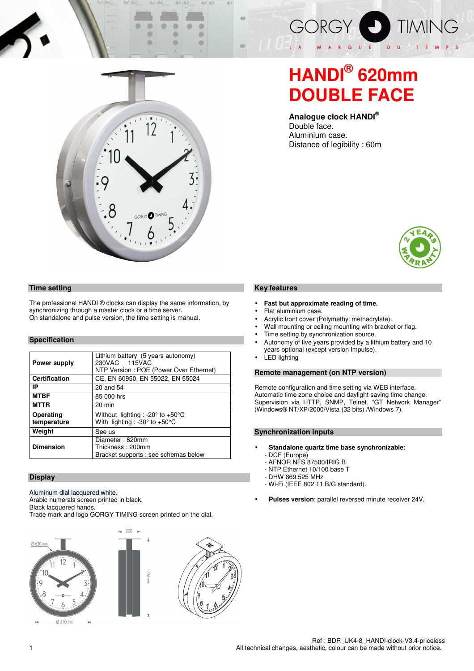

## **HANDI® 620mm DOUBLE FACE**

**Analogue clock HANDI®**  Double face. Aluminium case. Distance of legibility : 60m



#### **Key features**

- **Fast but approximate reading of time.**
- Flat aluminium case.
- Acrylic front cover (Polymethyl methacrylate).
- Wall mounting or ceiling mounting with bracket or flag.
- Time setting by synchronization source.
- Autonomy of five years provided by a lithium battery and 10 years optional (except version Impulse).
- **LED** lighting

#### **Remote management (on NTP version)**

Remote configuration and time setting via WEB interface. Automatic time zone choice and daylight saving time change. Supervision via HTTP, SNMP, Telnet. "GT Network Manager" (Windows® NT/XP/2000/Vista (32 bits) /Windows 7).

#### **Synchronization inputs**

- **Standalone quartz time base synchronizable:**  - DCF (Europe)
	- AFNOR NFS 87500/IRIG B
	- NTP Ethernet 10/100 base T
	- DHW 869.525 MHz
	- Wi-Fi (IEEE 802.11 B/G standard).
- **Pulses version**: parallel reversed minute receiver 24V.



o

 $\bullet$ 

o

ø

#### **Time setting**

The professional HANDI ® clocks can display the same information, by synchronizing through a master clock or a time server. On standalone and pulse version, the time setting is manual.

### **Specification**

| Power supply             | Lithium battery (5 years autonomy)<br>230VAC 115VAC<br>NTP Version: POE (Power Over Ethernet)           |  |  |  |  |
|--------------------------|---------------------------------------------------------------------------------------------------------|--|--|--|--|
| <b>Certification</b>     | CE, EN 60950, EN 55022, EN 55024                                                                        |  |  |  |  |
| IP                       | 20 and 54                                                                                               |  |  |  |  |
| <b>MTBF</b>              | 85 000 hrs                                                                                              |  |  |  |  |
| <b>MTTR</b>              | 20 min                                                                                                  |  |  |  |  |
| Operating<br>temperature | Without lighting : -20 $\degree$ to +50 $\degree$ C<br>With lighting : -30 $\degree$ to +50 $\degree$ C |  |  |  |  |
| Weight                   | See us                                                                                                  |  |  |  |  |
| <b>Dimension</b>         | Diameter: 620mm<br>Thickness: 200mm<br>Bracket supports : see schemas below                             |  |  |  |  |

#### **Display**

Aluminum dial lacquered white.

Arabic numerals screen printed in black.

Black lacquered hands.

Trade mark and logo GORGY TIMING screen printed on the dial.